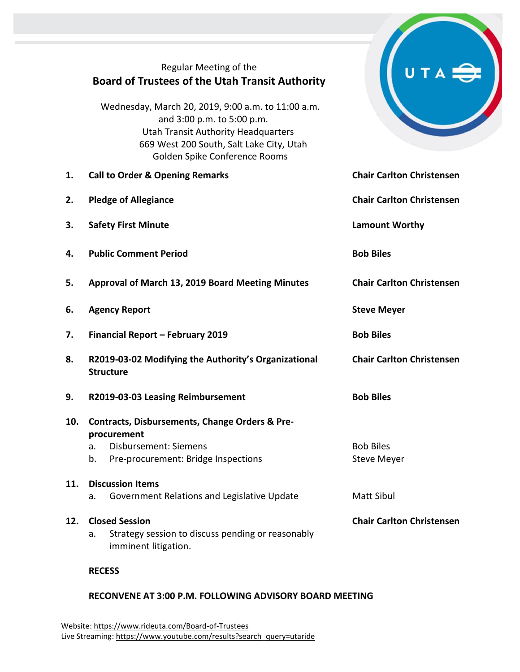## Regular Meeting of the **Board of Trustees of the Utah Transit Authority**

Wednesday, March 20, 2019, 9:00 a.m. to 11:00 a.m. and 3:00 p.m. to 5:00 p.m. Utah Transit Authority Headquarters 669 West 200 South, Salt Lake City, Utah Golden Spike Conference Rooms

- **1. Call to Order & Opening Remarks Chair Carlton Christensen**
- **2. Pledge of Allegiance Chair Carlton Christensen**
- **3. Safety First Minute Lamount Worthy**
- **4. Public Comment Period Bob Biles**
- **5. Approval of March 13, 2019 Board Meeting Minutes Chair Carlton Christensen**
- **6. Agency Report Steve Meyer Steve Meyer**
- **7. Financial Report – February 2019 Bob Biles**
- **8. R2019-03-02 Modifying the Authority's Organizational Structure**
- **9. R2019-03-03 Leasing Reimbursement Bob Biles**
- **10. Contracts, Disbursements, Change Orders & Preprocurement**
	- a. Disbursement: Siemens Bob Biles
	- b. Pre-procurement: Bridge Inspections The Steve Meyer

## **11. Discussion Items**

- a. Government Relations and Legislative Update Matt Sibul
- **12. Closed Session Chair Carlton Christensen**
	- a. Strategy session to discuss pending or reasonably imminent litigation.

**RECESS**

## **RECONVENE AT 3:00 P.M. FOLLOWING ADVISORY BOARD MEETING**



**Chair Carlton Christensen**